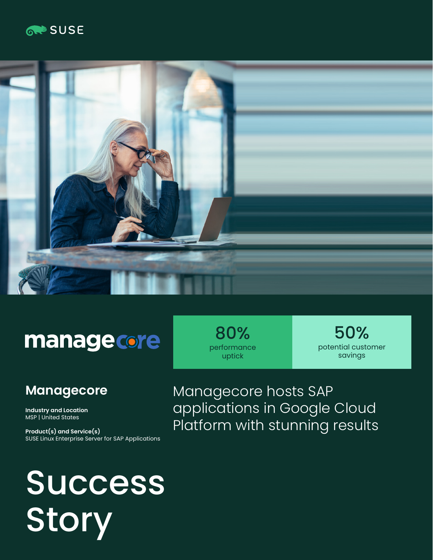



# **manage core**

## **Managecore**

**Industry and Location**  MSP | United States

**Product(s) and Service(s)** SUSE Linux Enterprise Server for SAP Applications

80% performance uptick

50% potential customer savings

Managecore hosts SAP applications in Google Cloud Platform with stunning results

# Success Story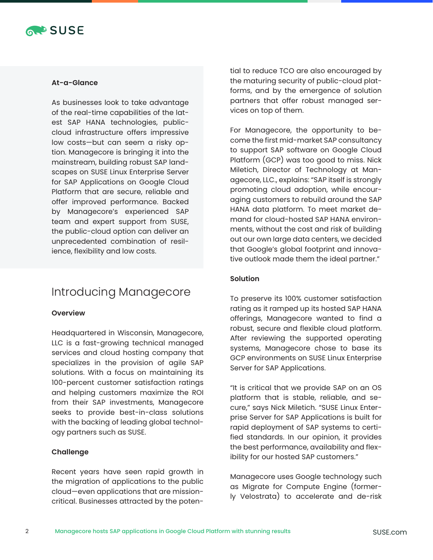

#### **At-a-Glance**

As businesses look to take advantage of the real-time capabilities of the latest SAP HANA technologies, publiccloud infrastructure offers impressive low costs—but can seem a risky option. Managecore is bringing it into the mainstream, building robust SAP landscapes on SUSE Linux Enterprise Server for SAP Applications on Google Cloud Platform that are secure, reliable and offer improved performance. Backed by Managecore's experienced SAP team and expert support from SUSE, the public-cloud option can deliver an unprecedented combination of resilience, flexibility and low costs.

### Introducing Managecore

#### **Overview**

Headquartered in Wisconsin, Managecore, LLC is a fast-growing technical managed services and cloud hosting company that specializes in the provision of agile SAP solutions. With a focus on maintaining its 100-percent customer satisfaction ratings and helping customers maximize the ROI from their SAP investments, Managecore seeks to provide best-in-class solutions with the backing of leading global technology partners such as SUSE.

#### **Challenge**

Recent years have seen rapid growth in the migration of applications to the public cloud—even applications that are missioncritical. Businesses attracted by the poten-

tial to reduce TCO are also encouraged by the maturing security of public-cloud platforms, and by the emergence of solution partners that offer robust managed services on top of them.

For Managecore, the opportunity to become the first mid-market SAP consultancy to support SAP software on Google Cloud Platform (GCP) was too good to miss. Nick Miletich, Director of Technology at Managecore, LLC., explains: "SAP itself is strongly promoting cloud adoption, while encouraging customers to rebuild around the SAP HANA data platform. To meet market demand for cloud-hosted SAP HANA environments, without the cost and risk of building out our own large data centers, we decided that Google's global footprint and innovative outlook made them the ideal partner."

#### **Solution**

To preserve its 100% customer satisfaction rating as it ramped up its hosted SAP HANA offerings, Managecore wanted to find a robust, secure and flexible cloud platform. After reviewing the supported operating systems, Managecore chose to base its GCP environments on SUSE Linux Enterprise Server for SAP Applications.

"It is critical that we provide SAP on an OS platform that is stable, reliable, and secure," says Nick Miletich. "SUSE Linux Enterprise Server for SAP Applications is built for rapid deployment of SAP systems to certified standards. In our opinion, it provides the best performance, availability and flexibility for our hosted SAP customers."

Managecore uses Google technology such as Migrate for Compute Engine (formerly Velostrata) to accelerate and de-risk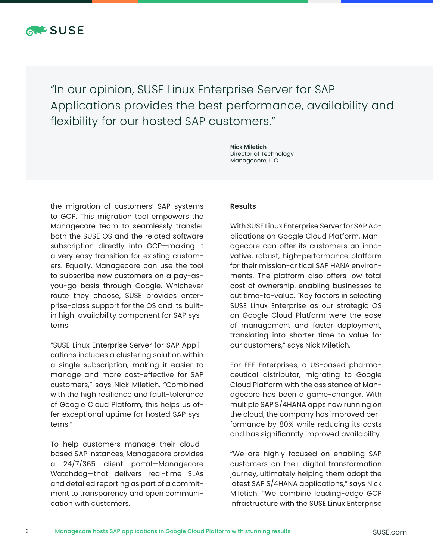

"In our opinion, SUSE Linux Enterprise Server for SAP Applications provides the best performance, availability and flexibility for our hosted SAP customers."

> **Nick Miletich** Director of Technology Managecore, LLC

the migration of customers' SAP systems to GCP. This migration tool empowers the Managecore team to seamlessly transfer both the SUSE OS and the related software subscription directly into GCP—making it a very easy transition for existing customers. Equally, Managecore can use the tool to subscribe new customers on a pay-asyou-go basis through Google. Whichever route they choose, SUSE provides enterprise-class support for the OS and its builtin high-availability component for SAP systems.

"SUSE Linux Enterprise Server for SAP Applications includes a clustering solution within a single subscription, making it easier to manage and more cost-effective for SAP customers," says Nick Miletich. "Combined with the high resilience and fault-tolerance of Google Cloud Platform, this helps us offer exceptional uptime for hosted SAP systems."

To help customers manage their cloudbased SAP instances, Managecore provides a 24/7/365 client portal—Managecore Watchdog—that delivers real-time SLAs and detailed reporting as part of a commitment to transparency and open communication with customers.

#### **Results**

With SUSE Linux Enterprise Server for SAP Applications on Google Cloud Platform, Managecore can offer its customers an innovative, robust, high-performance platform for their mission-critical SAP HANA environments. The platform also offers low total cost of ownership, enabling businesses to cut time-to-value. "Key factors in selecting SUSE Linux Enterprise as our strategic OS on Google Cloud Platform were the ease of management and faster deployment, translating into shorter time-to-value for our customers," says Nick Miletich.

For FFF Enterprises, a US-based pharmaceutical distributor, migrating to Google Cloud Platform with the assistance of Managecore has been a game-changer. With multiple SAP S/4HANA apps now running on the cloud, the company has improved performance by 80% while reducing its costs and has significantly improved availability.

"We are highly focused on enabling SAP customers on their digital transformation journey, ultimately helping them adopt the latest SAP S/4HANA applications," says Nick Miletich. "We combine leading-edge GCP infrastructure with the SUSE Linux Enterprise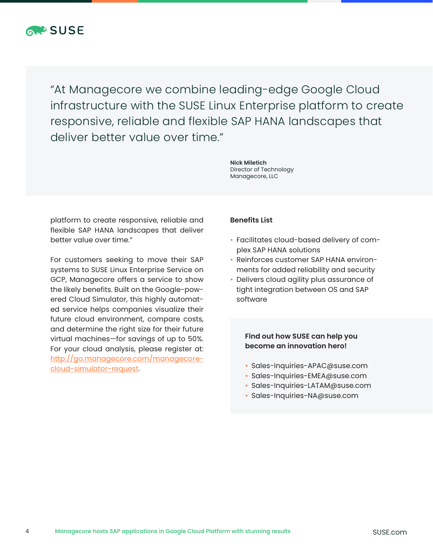

"At Managecore we combine leading-edge Google Cloud infrastructure with the SUSE Linux Enterprise platform to create responsive, reliable and flexible SAP HANA landscapes that deliver better value over time."

> **Nick Miletich** Director of Technology Managecore, LLC

platform to create responsive, reliable and flexible SAP HANA landscapes that deliver better value over time."

For customers seeking to move their SAP systems to SUSE Linux Enterprise Service on GCP, Managecore offers a service to show the likely benefits. Built on the Google-powered Cloud Simulator, this highly automated service helps companies visualize their future cloud environment, compare costs, and determine the right size for their future virtual machines—for savings of up to 50%. For your cloud analysis, please register at: [http://go.managecore.com/managecore](http://go.managecore.com/managecore-cloud-simulator-request)[cloud-simulator-request.](http://go.managecore.com/managecore-cloud-simulator-request)

#### **Benefits List**

- Facilitates cloud-based delivery of complex SAP HANA solutions
- Reinforces customer SAP HANA environments for added reliability and security
- Delivers cloud agility plus assurance of tight integration between OS and SAP software

#### **Find out how SUSE can help you become an innovation hero!**

- Sales-Inquiries-APAC@suse.com
- Sales-Inquiries-EMEA@suse.com
- Sales-Inquiries-LATAM@suse.com
- Sales-Inquiries-NA@suse.com